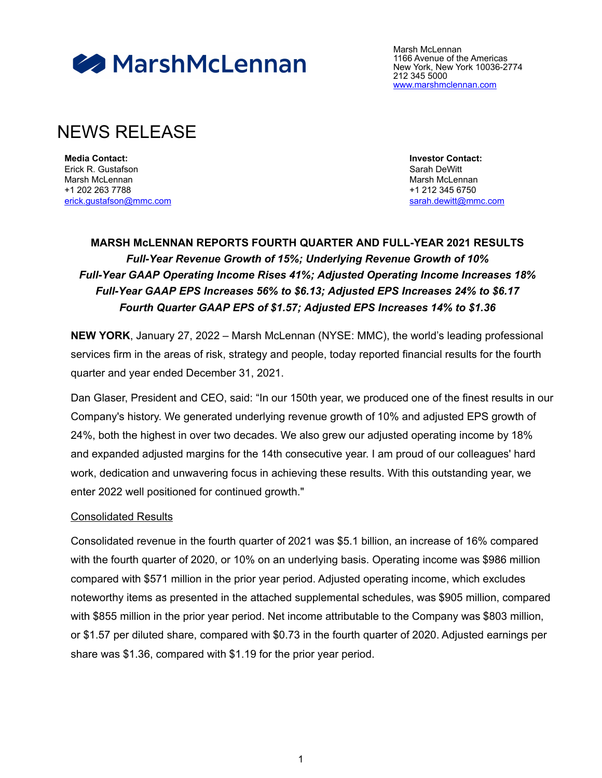

Marsh McLennan 1166 Avenue of the Americas New York, New York 10036-2774 212 345 5000 <www.marshmclennan.com>

# NEWS RELEASE

**Media Contact:** Erick R. Gustafson Marsh McLennan +1 202 263 7788 [erick.gustafson@mmc.com](mailto: erick.gustafson@mmc.com)

**Investor Contact:** Sarah DeWitt Marsh McLennan +1 212 345 6750 [sarah.dewitt@mmc.com](mailto: sarah.dewitt@mmc.com)

# **MARSH McLENNAN REPORTS FOURTH QUARTER AND FULL-YEAR 2021 RESULTS** *Full-Year Revenue Growth of 15%; Underlying Revenue Growth of 10% Full-Year GAAP Operating Income Rises 41%; Adjusted Operating Income Increases 18% Full-Year GAAP EPS Increases 56% to \$6.13; Adjusted EPS Increases 24% to \$6.17 Fourth Quarter GAAP EPS of \$1.57; Adjusted EPS Increases 14% to \$1.36*

**NEW YORK**, January 27, 2022 – Marsh McLennan (NYSE: MMC), the world's leading professional services firm in the areas of risk, strategy and people, today reported financial results for the fourth quarter and year ended December 31, 2021.

Dan Glaser, President and CEO, said: "In our 150th year, we produced one of the finest results in our Company's history. We generated underlying revenue growth of 10% and adjusted EPS growth of 24%, both the highest in over two decades. We also grew our adjusted operating income by 18% and expanded adjusted margins for the 14th consecutive year. I am proud of our colleagues' hard work, dedication and unwavering focus in achieving these results. With this outstanding year, we enter 2022 well positioned for continued growth."

# Consolidated Results

Consolidated revenue in the fourth quarter of 2021 was \$5.1 billion, an increase of 16% compared with the fourth quarter of 2020, or 10% on an underlying basis. Operating income was \$986 million compared with \$571 million in the prior year period. Adjusted operating income, which excludes noteworthy items as presented in the attached supplemental schedules, was \$905 million, compared with \$855 million in the prior year period. Net income attributable to the Company was \$803 million, or \$1.57 per diluted share, compared with \$0.73 in the fourth quarter of 2020. Adjusted earnings per share was \$1.36, compared with \$1.19 for the prior year period.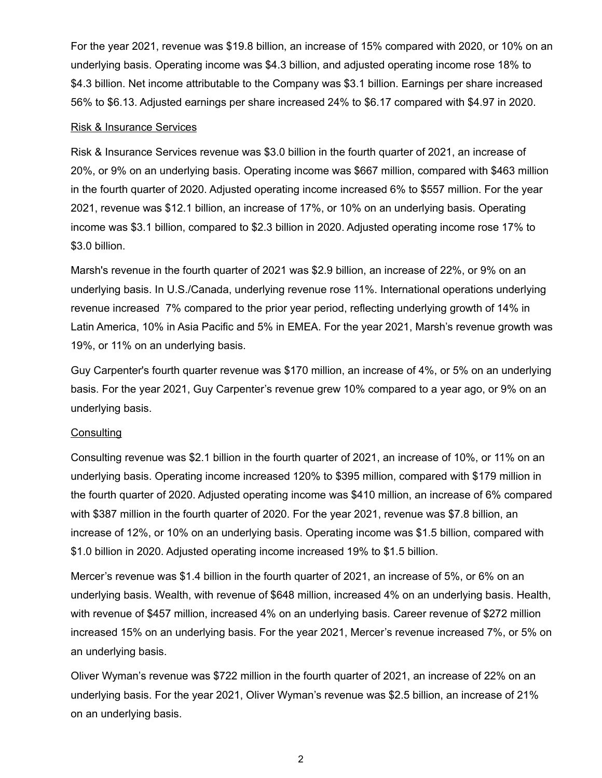For the year 2021, revenue was \$19.8 billion, an increase of 15% compared with 2020, or 10% on an underlying basis. Operating income was \$4.3 billion, and adjusted operating income rose 18% to \$4.3 billion. Net income attributable to the Company was \$3.1 billion. Earnings per share increased 56% to \$6.13. Adjusted earnings per share increased 24% to \$6.17 compared with \$4.97 in 2020.

## Risk & Insurance Services

Risk & Insurance Services revenue was \$3.0 billion in the fourth quarter of 2021, an increase of 20%, or 9% on an underlying basis. Operating income was \$667 million, compared with \$463 million in the fourth quarter of 2020. Adjusted operating income increased 6% to \$557 million. For the year 2021, revenue was \$12.1 billion, an increase of 17%, or 10% on an underlying basis. Operating income was \$3.1 billion, compared to \$2.3 billion in 2020. Adjusted operating income rose 17% to \$3.0 billion.

Marsh's revenue in the fourth quarter of 2021 was \$2.9 billion, an increase of 22%, or 9% on an underlying basis. In U.S./Canada, underlying revenue rose 11%. International operations underlying revenue increased 7% compared to the prior year period, reflecting underlying growth of 14% in Latin America, 10% in Asia Pacific and 5% in EMEA. For the year 2021, Marsh's revenue growth was 19%, or 11% on an underlying basis.

Guy Carpenter's fourth quarter revenue was \$170 million, an increase of 4%, or 5% on an underlying basis. For the year 2021, Guy Carpenter's revenue grew 10% compared to a year ago, or 9% on an underlying basis.

# **Consulting**

Consulting revenue was \$2.1 billion in the fourth quarter of 2021, an increase of 10%, or 11% on an underlying basis. Operating income increased 120% to \$395 million, compared with \$179 million in the fourth quarter of 2020. Adjusted operating income was \$410 million, an increase of 6% compared with \$387 million in the fourth quarter of 2020. For the year 2021, revenue was \$7.8 billion, an increase of 12%, or 10% on an underlying basis. Operating income was \$1.5 billion, compared with \$1.0 billion in 2020. Adjusted operating income increased 19% to \$1.5 billion.

Mercer's revenue was \$1.4 billion in the fourth quarter of 2021, an increase of 5%, or 6% on an underlying basis. Wealth, with revenue of \$648 million, increased 4% on an underlying basis. Health, with revenue of \$457 million, increased 4% on an underlying basis. Career revenue of \$272 million increased 15% on an underlying basis. For the year 2021, Mercer's revenue increased 7%, or 5% on an underlying basis.

Oliver Wyman's revenue was \$722 million in the fourth quarter of 2021, an increase of 22% on an underlying basis. For the year 2021, Oliver Wyman's revenue was \$2.5 billion, an increase of 21% on an underlying basis.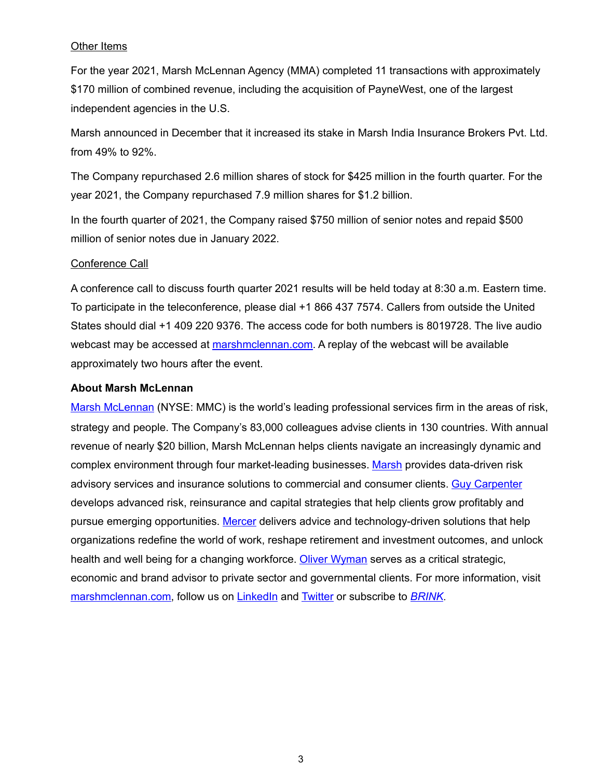## **Other Items**

For the year 2021, Marsh McLennan Agency (MMA) completed 11 transactions with approximately \$170 million of combined revenue, including the acquisition of PayneWest, one of the largest independent agencies in the U.S.

Marsh announced in December that it increased its stake in Marsh India Insurance Brokers Pvt. Ltd. from 49% to 92%.

The Company repurchased 2.6 million shares of stock for \$425 million in the fourth quarter. For the year 2021, the Company repurchased 7.9 million shares for \$1.2 billion.

In the fourth quarter of 2021, the Company raised \$750 million of senior notes and repaid \$500 million of senior notes due in January 2022.

## Conference Call

A conference call to discuss fourth quarter 2021 results will be held today at 8:30 a.m. Eastern time. To participate in the teleconference, please dial +1 866 437 7574. Callers from outside the United States should dial +1 409 220 9376. The access code for both numbers is 8019728. The live audio webcast may be accessed at [marshmclennan.com](www.marshmclennan.com). A replay of the webcast will be available approximately two hours after the event.

## **About Marsh McLennan**

[Marsh McLennan](http://www.marshmclennan.com/) (NYSE: MMC) is the world's leading professional services firm in the areas of risk, strategy and people. The Company's 83,000 colleagues advise clients in 130 countries. With annual revenue of nearly \$20 billion, Marsh McLennan helps clients navigate an increasingly dynamic and complex environment through four market-leading businesses. [Marsh](http://www.marsh.com/) provides data-driven risk advisory services and insurance solutions to commercial and consumer clients. [Guy Carpenter](http://www.guycarp.com/) develops advanced risk, reinsurance and capital strategies that help clients grow profitably and pursue emerging opportunities. [Mercer](http://www.mercer.com/) delivers advice and technology-driven solutions that help organizations redefine the world of work, reshape retirement and investment outcomes, and unlock health and well being for a changing workforce. [Oliver Wyman](http://www.oliverwyman.com/) serves as a critical strategic, economic and brand advisor to private sector and governmental clients. For more information, visit [marshmclennan.com](www.marshmclennan.com), follow us on [LinkedIn](https://www.linkedin.com/company/marshmclennan/mycompany/verification/) and [Twitter](https://twitter.com/MarshMcLennan) or subscribe to *[BRINK](https://www.brinknews.com/)*.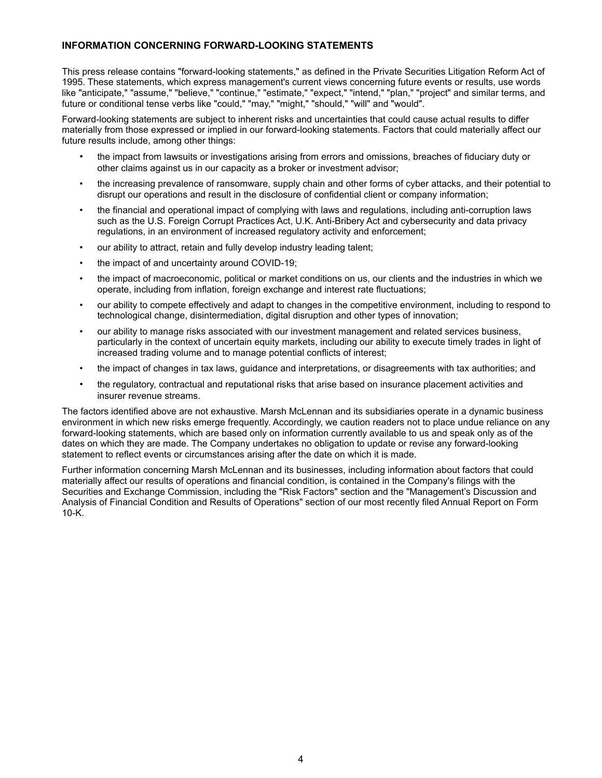### **INFORMATION CONCERNING FORWARD-LOOKING STATEMENTS**

This press release contains "forward-looking statements," as defined in the Private Securities Litigation Reform Act of 1995. These statements, which express management's current views concerning future events or results, use words like "anticipate," "assume," "believe," "continue," "estimate," "expect," "intend," "plan," "project" and similar terms, and future or conditional tense verbs like "could," "may," "might," "should," "will" and "would".

Forward-looking statements are subject to inherent risks and uncertainties that could cause actual results to differ materially from those expressed or implied in our forward-looking statements. Factors that could materially affect our future results include, among other things:

- the impact from lawsuits or investigations arising from errors and omissions, breaches of fiduciary duty or other claims against us in our capacity as a broker or investment advisor;
- the increasing prevalence of ransomware, supply chain and other forms of cyber attacks, and their potential to disrupt our operations and result in the disclosure of confidential client or company information;
- the financial and operational impact of complying with laws and regulations, including anti-corruption laws such as the U.S. Foreign Corrupt Practices Act, U.K. Anti-Bribery Act and cybersecurity and data privacy regulations, in an environment of increased regulatory activity and enforcement;
- our ability to attract, retain and fully develop industry leading talent;
- the impact of and uncertainty around COVID-19;
- the impact of macroeconomic, political or market conditions on us, our clients and the industries in which we operate, including from inflation, foreign exchange and interest rate fluctuations;
- our ability to compete effectively and adapt to changes in the competitive environment, including to respond to technological change, disintermediation, digital disruption and other types of innovation;
- our ability to manage risks associated with our investment management and related services business, particularly in the context of uncertain equity markets, including our ability to execute timely trades in light of increased trading volume and to manage potential conflicts of interest;
- the impact of changes in tax laws, guidance and interpretations, or disagreements with tax authorities; and
- the regulatory, contractual and reputational risks that arise based on insurance placement activities and insurer revenue streams.

The factors identified above are not exhaustive. Marsh McLennan and its subsidiaries operate in a dynamic business environment in which new risks emerge frequently. Accordingly, we caution readers not to place undue reliance on any forward-looking statements, which are based only on information currently available to us and speak only as of the dates on which they are made. The Company undertakes no obligation to update or revise any forward-looking statement to reflect events or circumstances arising after the date on which it is made.

Further information concerning Marsh McLennan and its businesses, including information about factors that could materially affect our results of operations and financial condition, is contained in the Company's filings with the Securities and Exchange Commission, including the "Risk Factors" section and the "Management's Discussion and Analysis of Financial Condition and Results of Operations" section of our most recently filed Annual Report on Form 10-K.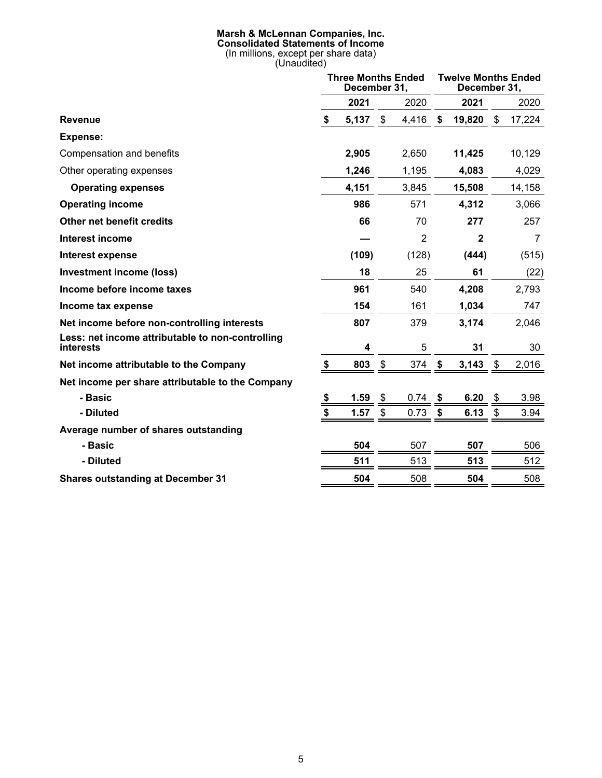#### **Marsh & McLennan Companies, Inc. Consolidated Statements of Income** (In millions, except per share data) (Unaudited)

|                                                               | <b>Three Months Ended</b><br>December 31, |                           |                | <b>Twelve Months Ended</b><br>December 31. |              |    |                |  |  |
|---------------------------------------------------------------|-------------------------------------------|---------------------------|----------------|--------------------------------------------|--------------|----|----------------|--|--|
|                                                               | 2021                                      |                           | 2020           |                                            | 2021         |    | 2020           |  |  |
| <b>Revenue</b>                                                | \$<br>5,137                               | \$                        | 4,416          | \$                                         | 19,820       | \$ | 17,224         |  |  |
| <b>Expense:</b>                                               |                                           |                           |                |                                            |              |    |                |  |  |
| Compensation and benefits                                     | 2,905                                     |                           | 2,650          |                                            | 11,425       |    | 10,129         |  |  |
| Other operating expenses                                      | 1,246                                     |                           | 1,195          |                                            | 4,083        |    | 4,029          |  |  |
| <b>Operating expenses</b>                                     | 4,151                                     |                           | 3,845          |                                            | 15,508       |    | 14,158         |  |  |
| <b>Operating income</b>                                       | 986                                       |                           | 571            |                                            | 4,312        |    | 3,066          |  |  |
| Other net benefit credits                                     | 66                                        |                           | 70             |                                            | 277          |    | 257            |  |  |
| <b>Interest income</b>                                        |                                           |                           | $\overline{2}$ |                                            | $\mathbf{2}$ |    | $\overline{7}$ |  |  |
| <b>Interest expense</b>                                       | (109)                                     |                           | (128)          |                                            | (444)        |    | (515)          |  |  |
| <b>Investment income (loss)</b>                               | 18                                        |                           | 25             |                                            | 61           |    | (22)           |  |  |
| Income before income taxes                                    | 961                                       |                           | 540            |                                            | 4,208        |    | 2,793          |  |  |
| Income tax expense                                            | 154                                       |                           | 161            |                                            | 1,034        |    | 747            |  |  |
| Net income before non-controlling interests                   | 807                                       |                           | 379            |                                            | 3,174        |    | 2,046          |  |  |
| Less: net income attributable to non-controlling<br>interests | 4                                         |                           | 5              |                                            | 31           |    | 30             |  |  |
| Net income attributable to the Company                        | \$<br>803                                 | $\boldsymbol{\mathsf{S}}$ | 374            | \$                                         | 3,143        | \$ | 2,016          |  |  |
| Net income per share attributable to the Company              |                                           |                           |                |                                            |              |    |                |  |  |
| - Basic                                                       | \$<br>1.59                                | \$                        | 0.74           | \$                                         | 6.20         | \$ | 3.98           |  |  |
| - Diluted                                                     | \$<br>1.57                                | \$                        | 0.73           | \$                                         | 6.13         | \$ | 3.94           |  |  |
| Average number of shares outstanding                          |                                           |                           |                |                                            |              |    |                |  |  |
| - Basic                                                       | 504                                       |                           | 507            |                                            | 507          |    | 506            |  |  |
| - Diluted                                                     | 511                                       |                           | 513            |                                            | 513          |    | 512            |  |  |
| <b>Shares outstanding at December 31</b>                      | 504                                       |                           | 508            |                                            | 504          |    | 508            |  |  |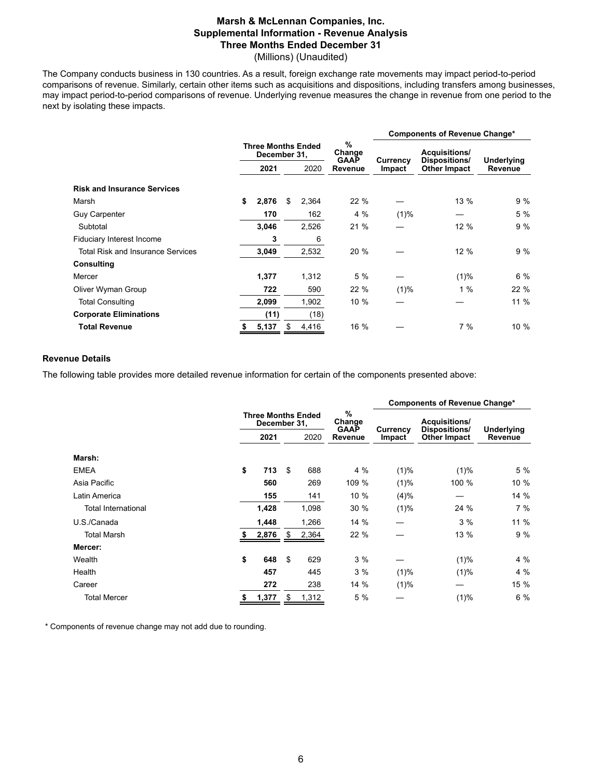#### **Marsh & McLennan Companies, Inc. Supplemental Information - Revenue Analysis Three Months Ended December 31** (Millions) (Unaudited)

The Company conducts business in 130 countries. As a result, foreign exchange rate movements may impact period-to-period comparisons of revenue. Similarly, certain other items such as acquisitions and dispositions, including transfers among businesses, may impact period-to-period comparisons of revenue. Underlying revenue measures the change in revenue from one period to the next by isolating these impacts.

|                                          |             |                                                           |    |         |        | <b>Components of Revenue Change*</b> |                               |          |                                |            |  |  |
|------------------------------------------|-------------|-----------------------------------------------------------|----|---------|--------|--------------------------------------|-------------------------------|----------|--------------------------------|------------|--|--|
|                                          |             | <b>Three Months Ended</b><br>December 31,<br>2021<br>2020 |    |         |        |                                      | $\%$<br>Change<br><b>GAAP</b> | Currency | Acquisitions/<br>Dispositions/ | Underlying |  |  |
|                                          |             |                                                           |    | Revenue | Impact | <b>Other Impact</b>                  | Revenue                       |          |                                |            |  |  |
| <b>Risk and Insurance Services</b>       |             |                                                           |    |         |        |                                      |                               |          |                                |            |  |  |
| Marsh                                    | \$<br>2,876 |                                                           | \$ | 2,364   | 22 %   |                                      | 13 %                          | 9%       |                                |            |  |  |
| <b>Guy Carpenter</b>                     | 170         |                                                           |    | 162     | $4\%$  | (1)%                                 |                               | 5 %      |                                |            |  |  |
| Subtotal                                 | 3,046       |                                                           |    | 2,526   | 21 %   |                                      | 12 %                          | 9%       |                                |            |  |  |
| Fiduciary Interest Income                |             | 3                                                         |    | 6       |        |                                      |                               |          |                                |            |  |  |
| <b>Total Risk and Insurance Services</b> | 3,049       |                                                           |    | 2,532   | 20 %   |                                      | 12%                           | 9%       |                                |            |  |  |
| Consulting                               |             |                                                           |    |         |        |                                      |                               |          |                                |            |  |  |
| Mercer                                   | 1,377       |                                                           |    | 1,312   | 5 %    |                                      | (1)%                          | $6\%$    |                                |            |  |  |
| Oliver Wyman Group                       | 722         |                                                           |    | 590     | 22 %   | (1)%                                 | 1%                            | 22 %     |                                |            |  |  |
| <b>Total Consulting</b>                  | 2,099       |                                                           |    | 1,902   | 10 %   |                                      |                               | 11 %     |                                |            |  |  |
| <b>Corporate Eliminations</b>            |             | (11)                                                      |    | (18)    |        |                                      |                               |          |                                |            |  |  |
| <b>Total Revenue</b>                     | 5,137       |                                                           | S  | 4,416   | 16 %   |                                      | 7%                            | $10 \%$  |                                |            |  |  |

#### **Revenue Details**

The following table provides more detailed revenue information for certain of the components presented above:

|                            |                                           |             |                            |          | <b>Components of Revenue Change*</b>         |            |
|----------------------------|-------------------------------------------|-------------|----------------------------|----------|----------------------------------------------|------------|
|                            | <b>Three Months Ended</b><br>December 31, |             | %<br>Change<br><b>GAAP</b> | Currency | <b>Acquisitions/</b><br><b>Dispositions/</b> | Underlying |
|                            | 2021                                      | 2020        | Revenue                    | Impact   | <b>Other Impact</b>                          | Revenue    |
| Marsh:                     |                                           |             |                            |          |                                              |            |
| <b>EMEA</b>                | \$<br>713                                 | \$<br>688   | 4 %                        | (1)%     | (1)%                                         | 5 %        |
| Asia Pacific               | 560                                       | 269         | 109 %                      | (1)%     | 100 %                                        | 10 %       |
| Latin America              | 155                                       | 141         | $10\%$                     | (4)%     |                                              | 14 %       |
| <b>Total International</b> | 1,428                                     | 1,098       | 30 %                       | (1)%     | 24 %                                         | 7%         |
| U.S./Canada                | 1,448                                     | 1,266       | 14 %                       |          | 3%                                           | 11 %       |
| <b>Total Marsh</b>         | 2,876                                     | \$<br>2,364 | 22 %                       |          | 13 %                                         | 9%         |
| Mercer:                    |                                           |             |                            |          |                                              |            |
| Wealth                     | \$<br>648                                 | \$<br>629   | 3%                         |          | (1)%                                         | 4%         |
| Health                     | 457                                       | 445         | 3%                         | (1)%     | (1)%                                         | 4 %        |
| Career                     | 272                                       | 238         | 14 %                       | (1)%     |                                              | 15 %       |
| <b>Total Mercer</b>        | 1,377                                     | \$<br>1,312 | 5 %                        |          | (1)%                                         | 6%         |

\* Components of revenue change may not add due to rounding.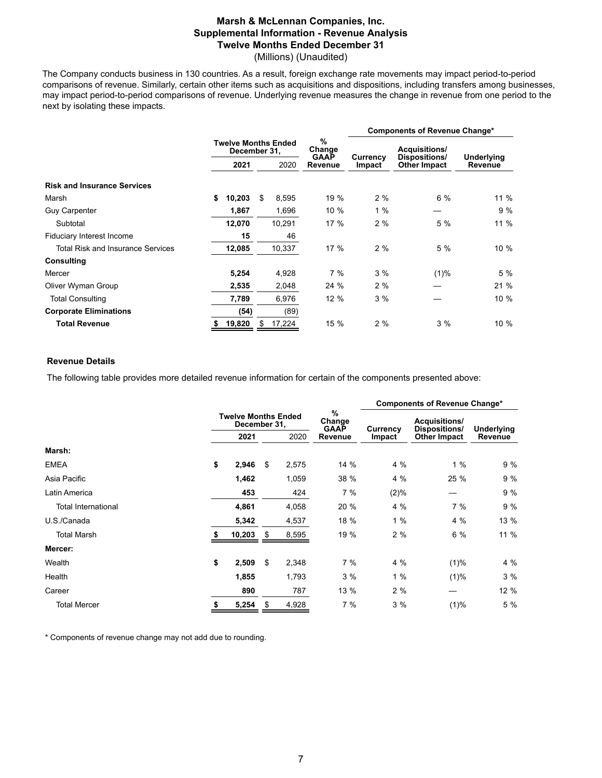#### **Marsh & McLennan Companies, Inc. Supplemental Information - Revenue Analysis Twelve Months Ended December 31** (Millions) (Unaudited)

The Company conducts business in 130 countries. As a result, foreign exchange rate movements may impact period-to-period comparisons of revenue. Similarly, certain other items such as acquisitions and dispositions, including transfers among businesses, may impact period-to-period comparisons of revenue. Underlying revenue measures the change in revenue from one period to the next by isolating these impacts.

|                                          |              |                                            |                            |          | <b>Components of Revenue Change*</b> |            |
|------------------------------------------|--------------|--------------------------------------------|----------------------------|----------|--------------------------------------|------------|
|                                          |              | <b>Twelve Months Ended</b><br>December 31, | %<br>Change<br><b>GAAP</b> | Currency | Acquisitions/<br>Dispositions/       | Underlying |
|                                          | 2021         | 2020                                       | Revenue                    | Impact   | <b>Other Impact</b>                  | Revenue    |
| <b>Risk and Insurance Services</b>       |              |                                            |                            |          |                                      |            |
| Marsh                                    | \$<br>10,203 | 8.595<br>\$                                | 19 %                       | 2%       | $6\%$                                | 11 %       |
| <b>Guy Carpenter</b>                     | 1,867        | 1,696                                      | $10\%$                     | 1%       |                                      | 9%         |
| Subtotal                                 | 12,070       | 10,291                                     | 17%                        | 2%       | 5 %                                  | 11 %       |
| Fiduciary Interest Income                | 15           | 46                                         |                            |          |                                      |            |
| <b>Total Risk and Insurance Services</b> | 12,085       | 10,337                                     | 17%                        | 2%       | 5 %                                  | 10 %       |
| Consulting                               |              |                                            |                            |          |                                      |            |
| Mercer                                   | 5,254        | 4,928                                      | 7 %                        | 3%       | (1)%                                 | 5 %        |
| Oliver Wyman Group                       | 2,535        | 2,048                                      | 24 %                       | 2%       |                                      | 21 %       |
| <b>Total Consulting</b>                  | 7,789        | 6,976                                      | 12 %                       | 3%       |                                      | 10 %       |
| <b>Corporate Eliminations</b>            | (54)         | (89)                                       |                            |          |                                      |            |
| <b>Total Revenue</b>                     | 19,820<br>S  | 17,224                                     | 15 %                       | 2%       | 3%                                   | 10 %       |

#### **Revenue Details**

The following table provides more detailed revenue information for certain of the components presented above:

|                            |    |                                            |    |       |                               | <b>Components of Revenue Change*</b> |                                |            |  |  |  |  |  |
|----------------------------|----|--------------------------------------------|----|-------|-------------------------------|--------------------------------------|--------------------------------|------------|--|--|--|--|--|
|                            |    | <b>Twelve Months Ended</b><br>December 31, |    |       | $\%$<br>Change<br><b>GAAP</b> | <b>Currency</b>                      | Acquisitions/<br>Dispositions/ | Underlying |  |  |  |  |  |
|                            |    | 2021                                       |    | 2020  | Revenue                       | Impact                               | <b>Other Impact</b>            | Revenue    |  |  |  |  |  |
| Marsh:                     |    |                                            |    |       |                               |                                      |                                |            |  |  |  |  |  |
| <b>EMEA</b>                | \$ | 2,946                                      | \$ | 2,575 | 14 %                          | 4 %                                  | 1%                             | 9%         |  |  |  |  |  |
| Asia Pacific               |    | 1,462                                      |    | 1,059 | 38 %                          | 4 %                                  | 25 %                           | 9%         |  |  |  |  |  |
| Latin America              |    | 453                                        |    | 424   | 7%                            | (2)%                                 |                                | 9%         |  |  |  |  |  |
| <b>Total International</b> |    | 4,861                                      |    | 4,058 | 20 %                          | 4 %                                  | 7%                             | 9 %        |  |  |  |  |  |
| U.S./Canada                |    | 5,342                                      |    | 4,537 | 18 %                          | 1%                                   | 4%                             | 13 %       |  |  |  |  |  |
| <b>Total Marsh</b>         |    | 10,203                                     | -5 | 8,595 | 19 %                          | 2%                                   | 6%                             | 11 %       |  |  |  |  |  |
| Mercer:                    |    |                                            |    |       |                               |                                      |                                |            |  |  |  |  |  |
| Wealth                     | \$ | 2,509                                      | \$ | 2,348 | 7%                            | 4 %                                  | (1)%                           | 4%         |  |  |  |  |  |
| Health                     |    | 1,855                                      |    | 1.793 | 3%                            | 1%                                   | (1)%                           | 3%         |  |  |  |  |  |
| Career                     |    | 890                                        |    | 787   | 13 %                          | 2%                                   |                                | 12 %       |  |  |  |  |  |
| <b>Total Mercer</b>        |    | 5,254                                      | \$ | 4,928 | 7%                            | 3%                                   | (1)%                           | 5 %        |  |  |  |  |  |

\* Components of revenue change may not add due to rounding.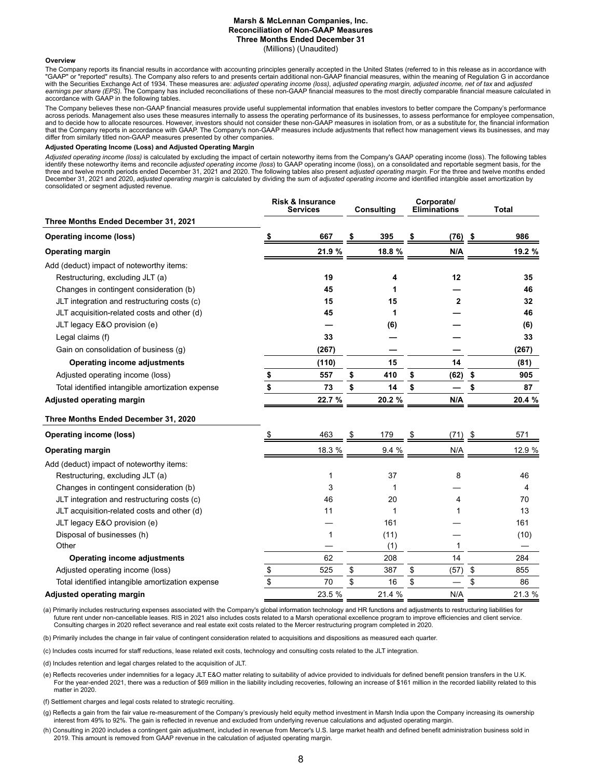#### **Marsh & McLennan Companies, Inc. Reconciliation of Non-GAAP Measures Three Months Ended December 31** (Millions) (Unaudited)

#### **Overview**

The Company reports its financial results in accordance with accounting principles generally accepted in the United States (referred to in this release as in accordance with "GAAP" or "reported" results). The Company also refers to and presents certain additional non-GAAP financial measures, within the meaning of Regulation G in accordance<br>with the Securities Exchange Act of 1934. These measur *earnings per share (EPS)*. The Company has included reconciliations of these non-GAAP financial measures to the most directly comparable financial measure calculated in accordance with GAAP in the following tables.

The Company believes these non-GAAP financial measures provide useful supplemental information that enables investors to better compare the Company's performance across periods. Management also uses these measures internally to assess the operating performance of its businesses, to assess performance for employee compensation, and to decide how to allocate resources. However, investors should not consider these non-GAAP measures in isolation from, or as a substitute for, the financial information that the Company reports in accordance with GAAP. The Company's non-GAAP measures include adjustments that reflect how management views its businesses, and may differ from similarly titled non-GAAP measures presented by other companies.

#### **Adjusted Operating Income (Loss) and Adjusted Operating Margin**

*Adjusted operating income (loss)* is calculated by excluding the impact of certain noteworthy items from the Company's GAAP operating income (loss). The following tables identify these noteworthy items and reconcile *adjusted operating income (loss*) to GAAP operating income (loss), on a consolidated and reportable segment basis, for the<br>three and twelve month periods ended December 31, 20 December 31, 2021 and 2020, *adjusted operating margin* is calculated by dividing the sum of *adjusted operating income* and identified intangible asset amortization by consolidated or segment adjusted revenue.

|                                                  | <b>Risk &amp; Insurance</b><br><b>Services</b> |    | <b>Consulting</b> | Corporate/<br><b>Eliminations</b> | <b>Total</b> |
|--------------------------------------------------|------------------------------------------------|----|-------------------|-----------------------------------|--------------|
| Three Months Ended December 31, 2021             |                                                |    |                   |                                   |              |
| <b>Operating income (loss)</b>                   | 667                                            |    | 395               | $(76)$ \$                         | 986          |
| <b>Operating margin</b>                          | 21.9 %                                         |    | 18.8 %            | N/A                               | 19.2 %       |
| Add (deduct) impact of noteworthy items:         |                                                |    |                   |                                   |              |
| Restructuring, excluding JLT (a)                 | 19                                             |    | 4                 | 12                                | 35           |
| Changes in contingent consideration (b)          | 45                                             |    | 1                 |                                   | 46           |
| JLT integration and restructuring costs (c)      | 15                                             |    | 15                | $\mathbf{2}$                      | 32           |
| JLT acquisition-related costs and other (d)      | 45                                             |    | 1                 |                                   | 46           |
| JLT legacy E&O provision (e)                     |                                                |    | (6)               |                                   | (6)          |
| Legal claims (f)                                 | 33                                             |    |                   |                                   | 33           |
| Gain on consolidation of business (g)            | (267)                                          |    |                   |                                   | (267)        |
| <b>Operating income adjustments</b>              | (110)                                          |    | 15                | 14                                | (81)         |
| Adjusted operating income (loss)                 | \$<br>557                                      | \$ | 410               | \$<br>(62)                        | \$<br>905    |
| Total identified intangible amortization expense | \$<br>73                                       | \$ | 14                | \$<br>—                           | \$<br>87     |
| Adjusted operating margin                        | 22.7 %                                         |    | 20.2 %            | N/A                               | 20.4 %       |
| Three Months Ended December 31, 2020             |                                                |    |                   |                                   |              |
| <b>Operating income (loss)</b>                   | 463                                            |    | 179               | \$<br>$(71)$ \$                   | 571          |
| <b>Operating margin</b>                          | 18.3 %                                         |    | 9.4 %             | N/A                               | 12.9 %       |
| Add (deduct) impact of noteworthy items:         |                                                |    |                   |                                   |              |
| Restructuring, excluding JLT (a)                 | 1                                              |    | 37                | 8                                 | 46           |
| Changes in contingent consideration (b)          | 3                                              |    | 1                 |                                   | 4            |
| JLT integration and restructuring costs (c)      | 46                                             |    | 20                | 4                                 | 70           |
| JLT acquisition-related costs and other (d)      | 11                                             |    | 1                 |                                   | 13           |
| JLT legacy E&O provision (e)                     |                                                |    | 161               |                                   | 161          |
| Disposal of businesses (h)                       | 1                                              |    | (11)              |                                   | (10)         |
| Other                                            |                                                |    | (1)               | 1                                 |              |
| <b>Operating income adjustments</b>              | 62                                             |    | 208               | 14                                | 284          |
| Adjusted operating income (loss)                 | \$<br>525                                      | \$ | 387               | \$<br>(57)                        | \$<br>855    |
| Total identified intangible amortization expense | \$<br>70                                       | \$ | 16                | \$                                | \$<br>86     |
| Adjusted operating margin                        | 23.5 %                                         |    | 21.4 %            | N/A                               | 21.3 %       |

(a) Primarily includes restructuring expenses associated with the Company's global information technology and HR functions and adjustments to restructuring liabilities for future rent under non-cancellable leases. RIS in 2021 also includes costs related to a Marsh operational excellence program to improve efficiencies and client service. Consulting charges in 2020 reflect severance and real estate exit costs related to the Mercer restructuring program completed in 2020.

(b) Primarily includes the change in fair value of contingent consideration related to acquisitions and dispositions as measured each quarter.

(c) Includes costs incurred for staff reductions, lease related exit costs, technology and consulting costs related to the JLT integration.

(d) Includes retention and legal charges related to the acquisition of JLT.

(e) Reflects recoveries under indemnities for a legacy JLT E&O matter relating to suitability of advice provided to individuals for defined benefit pension transfers in the U.K. For the year-ended 2021, there was a reduction of \$69 million in the liability including recoveries, following an increase of \$161 million in the recorded liability related to this matter in 2020.

(f) Settlement charges and legal costs related to strategic recruiting.

(g) Reflects a gain from the fair value re-measurement of the Company's previously held equity method investment in Marsh India upon the Company increasing its ownership interest from 49% to 92%. The gain is reflected in revenue and excluded from underlying revenue calculations and adjusted operating margin.

(h) Consulting in 2020 includes a contingent gain adjustment, included in revenue from Mercer's U.S. large market health and defined benefit administration business sold in 2019. This amount is removed from GAAP revenue in the calculation of adjusted operating margin.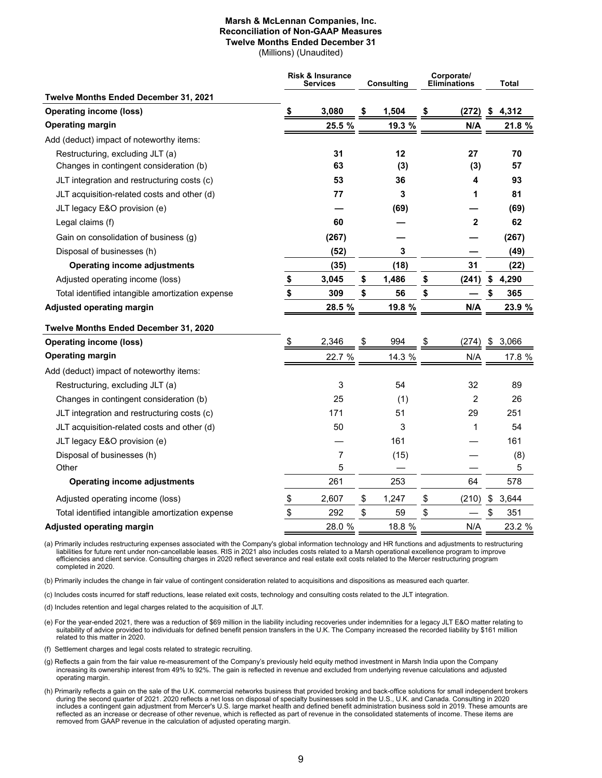#### **Marsh & McLennan Companies, Inc. Reconciliation of Non-GAAP Measures Twelve Months Ended December 31** (Millions) (Unaudited)

|                                                                             |     | <b>Risk &amp; Insurance</b><br><b>Services</b> | <b>Consulting</b> | Corporate/<br><b>Eliminations</b> |              |    | <b>Total</b> |
|-----------------------------------------------------------------------------|-----|------------------------------------------------|-------------------|-----------------------------------|--------------|----|--------------|
| Twelve Months Ended December 31, 2021                                       |     |                                                |                   |                                   |              |    |              |
| <b>Operating income (loss)</b>                                              | \$. | 3,080                                          | \$<br>1,504       |                                   | (272)        | \$ | 4,312        |
| <b>Operating margin</b>                                                     |     | 25.5 %                                         | 19.3 %            |                                   | N/A          |    | 21.8 %       |
| Add (deduct) impact of noteworthy items:                                    |     |                                                |                   |                                   |              |    |              |
| Restructuring, excluding JLT (a)<br>Changes in contingent consideration (b) |     | 31<br>63                                       | 12<br>(3)         |                                   | 27<br>(3)    |    | 70<br>57     |
| JLT integration and restructuring costs (c)                                 |     | 53                                             | 36                |                                   | 4            |    | 93           |
| JLT acquisition-related costs and other (d)                                 |     | 77                                             | 3                 |                                   | 1            |    | 81           |
| JLT legacy E&O provision (e)                                                |     |                                                | (69)              |                                   |              |    | (69)         |
| Legal claims (f)                                                            |     | 60                                             |                   |                                   | $\mathbf{2}$ |    | 62           |
| Gain on consolidation of business (g)                                       |     | (267)                                          |                   |                                   |              |    | (267)        |
| Disposal of businesses (h)                                                  |     | (52)                                           | 3                 |                                   |              |    | (49)         |
| <b>Operating income adjustments</b>                                         |     | (35)                                           | (18)              |                                   | 31           |    | (22)         |
| Adjusted operating income (loss)                                            | \$  | 3,045                                          | \$<br>1,486       | \$                                | (241)        | \$ | 4,290        |
| Total identified intangible amortization expense                            | \$  | 309                                            | \$<br>56          | \$                                |              | \$ | 365          |
| <b>Adjusted operating margin</b>                                            |     | 28.5 %                                         | 19.8 %            |                                   | N/A          |    | 23.9 %       |
| Twelve Months Ended December 31, 2020                                       |     |                                                |                   |                                   |              |    |              |
| <b>Operating income (loss)</b>                                              |     | 2,346                                          | \$<br>994         | \$                                | (274)        |    | 3,066        |
| <b>Operating margin</b>                                                     |     | 22.7 %                                         | 14.3 %            |                                   | N/A          |    | 17.8 %       |
| Add (deduct) impact of noteworthy items:                                    |     |                                                |                   |                                   |              |    |              |
| Restructuring, excluding JLT (a)                                            |     | 3                                              | 54                |                                   | 32           |    | 89           |
| Changes in contingent consideration (b)                                     |     | 25                                             | (1)               |                                   | 2            |    | 26           |
| JLT integration and restructuring costs (c)                                 |     | 171                                            | 51                |                                   | 29           |    | 251          |
| JLT acquisition-related costs and other (d)                                 |     | 50                                             | 3                 |                                   | 1            |    | 54           |
| JLT legacy E&O provision (e)                                                |     |                                                | 161               |                                   |              |    | 161          |
| Disposal of businesses (h)                                                  |     | 7                                              | (15)              |                                   |              |    | (8)          |
| Other                                                                       |     | 5                                              |                   |                                   |              |    | 5            |
| <b>Operating income adjustments</b>                                         |     | 261                                            | 253               |                                   | 64           |    | 578          |
| Adjusted operating income (loss)                                            | \$  | 2,607                                          | \$<br>1,247       | \$                                | (210)        | \$ | 3,644        |
| Total identified intangible amortization expense                            | \$  | 292                                            | \$<br>59          | \$                                |              | \$ | 351          |
| <b>Adjusted operating margin</b>                                            |     | 28.0 %                                         | 18.8 %            |                                   | N/A          |    | 23.2 %       |

(a) Primarily includes restructuring expenses associated with the Company's global information technology and HR functions and adjustments to restructuring liabilities for future rent under non-cancellable leases. RIS in 2021 also includes costs related to a Marsh operational excellence program to improve efficiencies and client service. Consulting charges in 2020 reflect severance and real estate exit costs related to the Mercer restructuring program completed in 2020.

(b) Primarily includes the change in fair value of contingent consideration related to acquisitions and dispositions as measured each quarter.

(c) Includes costs incurred for staff reductions, lease related exit costs, technology and consulting costs related to the JLT integration.

(d) Includes retention and legal charges related to the acquisition of JLT.

(e) For the year-ended 2021, there was a reduction of \$69 million in the liability including recoveries under indemnities for a legacy JLT E&O matter relating to suitability of advice provided to individuals for defined benefit pension transfers in the U.K. The Company increased the recorded liability by \$161 million related to this matter in 2020.

(f) Settlement charges and legal costs related to strategic recruiting.

(g) Reflects a gain from the fair value re-measurement of the Company's previously held equity method investment in Marsh India upon the Company increasing its ownership interest from 49% to 92%. The gain is reflected in revenue and excluded from underlying revenue calculations and adjusted operating margin.

(h) Primarily reflects a gain on the sale of the U.K. commercial networks business that provided broking and back-office solutions for small independent brokers during the second quarter of 2021. 2020 reflects a net loss on disposal of specialty businesses sold in the U.S., U.K. and Canada. Consulting in 2020<br>includes a contingent gain adjustment from Mercer's U.S. large market he reflected as an increase or decrease of other revenue, which is reflected as part of revenue in the consolidated statements of income. These items are removed from GAAP revenue in the calculation of adjusted operating margin.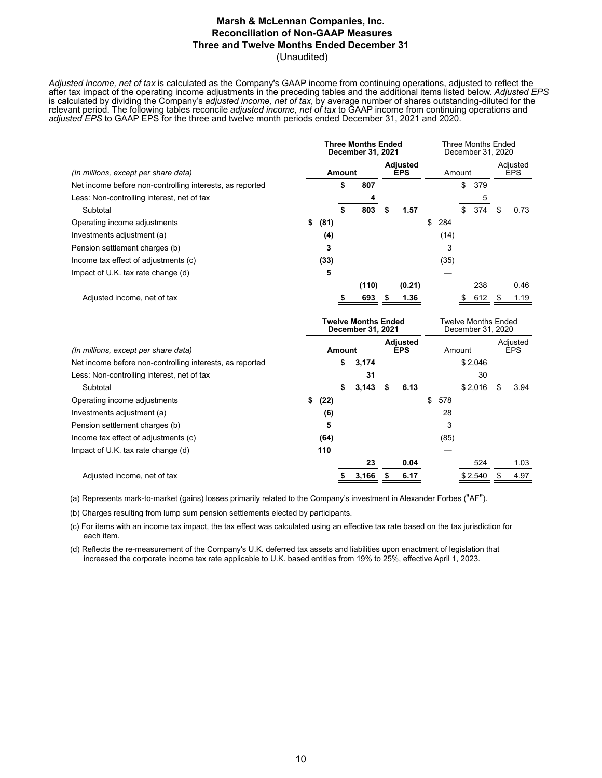#### **Marsh & McLennan Companies, Inc. Reconciliation of Non-GAAP Measures Three and Twelve Months Ended December 31** (Unaudited)

*Adjusted income, net of tax* is calculated as the Company's GAAP income from continuing operations, adjusted to reflect the after tax impact of the operating income adjustments in the preceding tables and the additional items listed below. *Adjusted EPS* is calculated by dividing the Company's *adjusted income, net of tax*, by average number of shares outstanding-diluted for the relevant period. The following tables reconcile *adjusted income, net of tax* to GAAP income from continuing operations and *adjusted EPS* to GAAP EPS for the three and twelve month periods ended December 31, 2021 and 2020.

|                                                          |            |        | <b>Three Months Ended</b><br>December 31, 2021 |                        | <b>Three Months Ended</b><br>December 31, 2020 |        |    |     |    |                        |  |
|----------------------------------------------------------|------------|--------|------------------------------------------------|------------------------|------------------------------------------------|--------|----|-----|----|------------------------|--|
| (In millions, except per share data)                     |            | Amount |                                                | Adjusted<br><b>EPS</b> |                                                | Amount |    |     |    | Adjusted<br><b>EPS</b> |  |
| Net income before non-controlling interests, as reported |            | \$     | 807                                            |                        |                                                |        | \$ | 379 |    |                        |  |
| Less: Non-controlling interest, net of tax               |            |        | 4                                              |                        |                                                |        |    | 5   |    |                        |  |
| Subtotal                                                 |            | ъ      | 803                                            | 1.57                   |                                                |        | \$ | 374 | S. | 0.73                   |  |
| Operating income adjustments                             | (81)<br>\$ |        |                                                |                        | \$                                             | 284    |    |     |    |                        |  |
| Investments adjustment (a)                               | (4)        |        |                                                |                        |                                                | (14)   |    |     |    |                        |  |
| Pension settlement charges (b)                           | 3          |        |                                                |                        |                                                | 3      |    |     |    |                        |  |
| Income tax effect of adjustments (c)                     | (33)       |        |                                                |                        |                                                | (35)   |    |     |    |                        |  |
| Impact of U.K. tax rate change (d)                       | 5          |        |                                                |                        |                                                |        |    |     |    |                        |  |
|                                                          |            |        | (110)                                          | (0.21)                 |                                                |        |    | 238 |    | 0.46                   |  |
| Adjusted income, net of tax                              |            |        | 693                                            | 1.36                   |                                                |        | \$ | 612 |    | 1.19                   |  |

|                                                          |    |        |    | <b>Twelve Months Ended</b><br>December 31, 2021 | Twelve Months Ended<br>December 31, 2020 |      |    |      |         |   |                        |
|----------------------------------------------------------|----|--------|----|-------------------------------------------------|------------------------------------------|------|----|------|---------|---|------------------------|
| (In millions, except per share data)                     |    | Amount |    |                                                 | <b>Adiusted</b><br><b>EPS</b>            |      |    |      | Amount  |   | Adiusted<br><b>EPS</b> |
| Net income before non-controlling interests, as reported |    |        | \$ | 3,174                                           |                                          |      |    |      | \$2.046 |   |                        |
| Less: Non-controlling interest, net of tax               |    |        |    | 31                                              |                                          |      |    |      | 30      |   |                        |
| Subtotal                                                 |    |        | S  | 3,143                                           |                                          | 6.13 |    |      | \$2.016 | Ж | 3.94                   |
| Operating income adjustments                             | \$ | (22)   |    |                                                 |                                          |      | \$ | 578  |         |   |                        |
| Investments adjustment (a)                               |    | (6)    |    |                                                 |                                          |      |    | 28   |         |   |                        |
| Pension settlement charges (b)                           |    | 5      |    |                                                 |                                          |      |    | 3    |         |   |                        |
| Income tax effect of adjustments (c)                     |    | (64)   |    |                                                 |                                          |      |    | (85) |         |   |                        |
| Impact of U.K. tax rate change (d)                       |    | 110    |    |                                                 |                                          |      |    |      |         |   |                        |
|                                                          |    |        |    | 23                                              |                                          | 0.04 |    |      | 524     |   | 1.03                   |
| Adjusted income, net of tax                              |    |        |    | 3,166                                           |                                          | 6.17 |    |      | \$2,540 |   | 4.97                   |

(a) Represents mark-to-market (gains) losses primarily related to the Company's investment in Alexander Forbes ("AF").

(b) Charges resulting from lump sum pension settlements elected by participants.

(c) For items with an income tax impact, the tax effect was calculated using an effective tax rate based on the tax jurisdiction for each item.

(d) Reflects the re-measurement of the Company's U.K. deferred tax assets and liabilities upon enactment of legislation that increased the corporate income tax rate applicable to U.K. based entities from 19% to 25%, effective April 1, 2023.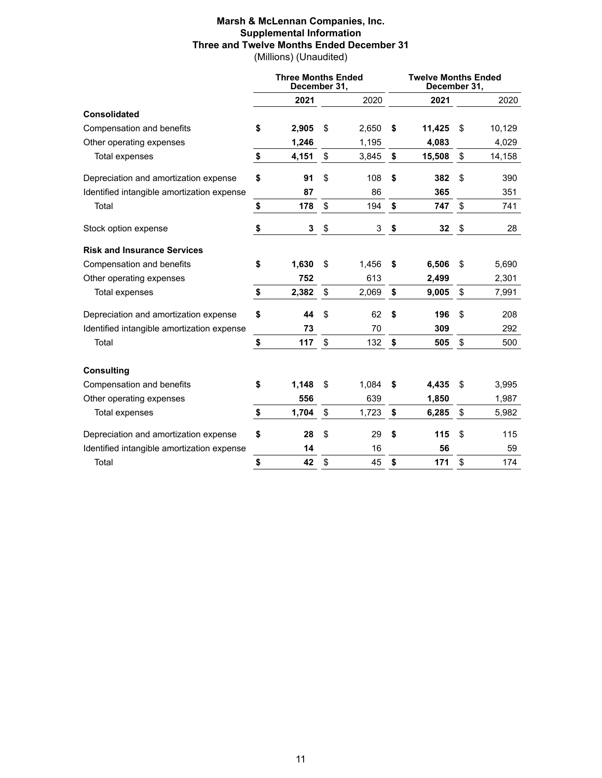# **Marsh & McLennan Companies, Inc. Supplemental Information Three and Twelve Months Ended December 31**

(Millions) (Unaudited)

| <b>Three Months Ended</b><br>December 31, |       |    |       |    | <b>Twelve Months Ended</b><br>December 31, |    |        |  |  |  |
|-------------------------------------------|-------|----|-------|----|--------------------------------------------|----|--------|--|--|--|
|                                           | 2021  |    | 2020  |    | 2021                                       |    | 2020   |  |  |  |
|                                           |       |    |       |    |                                            |    |        |  |  |  |
| \$                                        | 2,905 | \$ | 2,650 | \$ | 11,425                                     | \$ | 10,129 |  |  |  |
|                                           | 1,246 |    | 1,195 |    | 4,083                                      |    | 4,029  |  |  |  |
| \$                                        | 4,151 | \$ | 3,845 | \$ | 15,508                                     | \$ | 14,158 |  |  |  |
| \$                                        | 91    | \$ | 108   | \$ | 382                                        | \$ | 390    |  |  |  |
|                                           | 87    |    | 86    |    | 365                                        |    | 351    |  |  |  |
| \$                                        | 178   | \$ | 194   | \$ | 747                                        | \$ | 741    |  |  |  |
| \$                                        | 3     | \$ | 3     | \$ | 32                                         | \$ | 28     |  |  |  |
|                                           |       |    |       |    |                                            |    |        |  |  |  |
| \$                                        | 1,630 | \$ | 1,456 | \$ | 6,506                                      | \$ | 5,690  |  |  |  |
|                                           | 752   |    | 613   |    | 2,499                                      |    | 2,301  |  |  |  |
| \$                                        | 2,382 | \$ | 2,069 | \$ | 9,005                                      | \$ | 7,991  |  |  |  |
| \$                                        | 44    | \$ | 62    | \$ | 196                                        | \$ | 208    |  |  |  |
|                                           | 73    |    | 70    |    | 309                                        |    | 292    |  |  |  |
| \$                                        | 117   | \$ | 132   | \$ | 505                                        | \$ | 500    |  |  |  |
|                                           |       |    |       |    |                                            |    |        |  |  |  |
| \$                                        | 1,148 | \$ | 1,084 | \$ | 4,435                                      | \$ | 3,995  |  |  |  |
|                                           | 556   |    | 639   |    | 1,850                                      |    | 1,987  |  |  |  |
| \$                                        | 1,704 | \$ | 1,723 | \$ | 6,285                                      | \$ | 5,982  |  |  |  |
| \$                                        | 28    | \$ | 29    | \$ | 115                                        | \$ | 115    |  |  |  |
|                                           | 14    |    | 16    |    | 56                                         |    | 59     |  |  |  |
| \$                                        | 42    | \$ | 45    | \$ | 171                                        | \$ | 174    |  |  |  |
|                                           |       |    |       |    |                                            |    |        |  |  |  |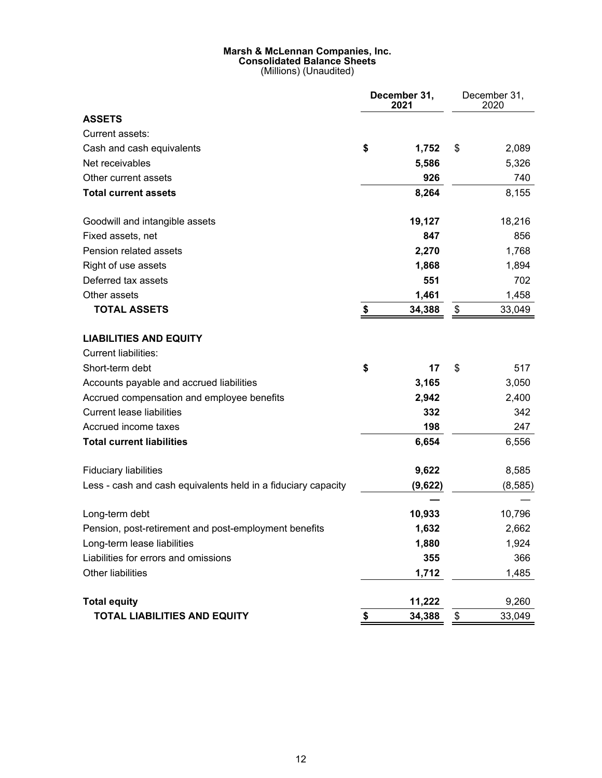#### **Marsh & McLennan Companies, Inc. Consolidated Balance Sheets** (Millions) (Unaudited)

|                                                               | December 31,<br>2021 |         | December 31,<br>2020 |
|---------------------------------------------------------------|----------------------|---------|----------------------|
| <b>ASSETS</b>                                                 |                      |         |                      |
| Current assets:                                               |                      |         |                      |
| Cash and cash equivalents                                     | \$                   | 1,752   | \$<br>2,089          |
| Net receivables                                               |                      | 5,586   | 5,326                |
| Other current assets                                          |                      | 926     | 740                  |
| <b>Total current assets</b>                                   |                      | 8,264   | 8,155                |
| Goodwill and intangible assets                                |                      | 19,127  | 18,216               |
| Fixed assets, net                                             |                      | 847     | 856                  |
| Pension related assets                                        |                      | 2,270   | 1,768                |
| Right of use assets                                           |                      | 1,868   | 1,894                |
| Deferred tax assets                                           |                      | 551     | 702                  |
| Other assets                                                  |                      | 1,461   | 1,458                |
| <b>TOTAL ASSETS</b>                                           | \$                   | 34,388  | \$<br>33,049         |
| <b>LIABILITIES AND EQUITY</b>                                 |                      |         |                      |
| <b>Current liabilities:</b>                                   |                      |         |                      |
| Short-term debt                                               | \$                   | 17      | \$<br>517            |
| Accounts payable and accrued liabilities                      |                      | 3,165   | 3,050                |
| Accrued compensation and employee benefits                    |                      | 2,942   | 2,400                |
| <b>Current lease liabilities</b>                              |                      | 332     | 342                  |
| Accrued income taxes                                          |                      | 198     | 247                  |
| <b>Total current liabilities</b>                              |                      | 6,654   | 6,556                |
| <b>Fiduciary liabilities</b>                                  |                      | 9,622   | 8,585                |
| Less - cash and cash equivalents held in a fiduciary capacity |                      | (9,622) | (8, 585)             |
| Long-term debt                                                |                      | 10,933  | 10,796               |
| Pension, post-retirement and post-employment benefits         |                      | 1,632   | 2,662                |
| Long-term lease liabilities                                   |                      | 1,880   | 1,924                |
| Liabilities for errors and omissions                          |                      | 355     | 366                  |
| <b>Other liabilities</b>                                      |                      | 1,712   | 1,485                |
| <b>Total equity</b>                                           |                      | 11,222  | 9,260                |
| <b>TOTAL LIABILITIES AND EQUITY</b>                           | \$                   | 34,388  | \$<br>33,049         |